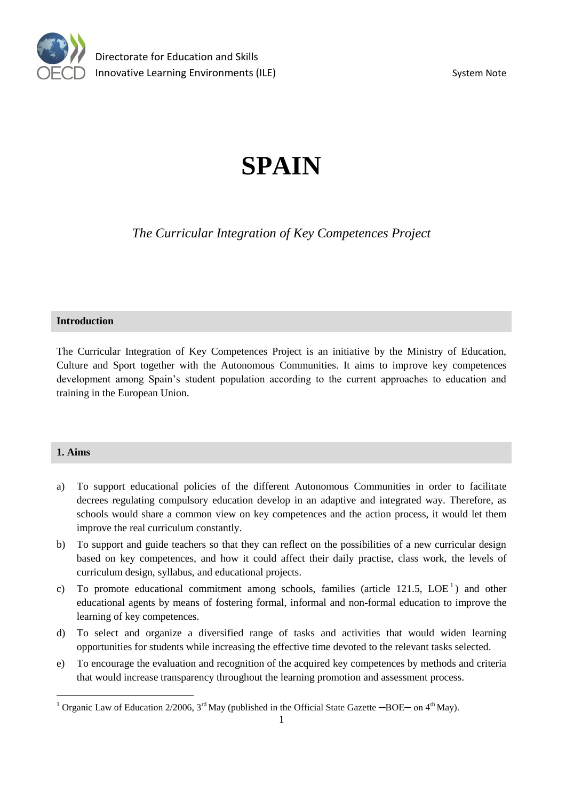

# **SPAIN**

*The Curricular Integration of Key Competences Project*

#### **Introduction**

The Curricular Integration of Key Competences Project is an initiative by the Ministry of Education, Culture and Sport together with the Autonomous Communities. It aims to improve key competences development among Spain's student population according to the current approaches to education and training in the European Union.

## **1. Aims**

- a) To support educational policies of the different Autonomous Communities in order to facilitate decrees regulating compulsory education develop in an adaptive and integrated way. Therefore, as schools would share a common view on key competences and the action process, it would let them improve the real curriculum constantly.
- b) To support and guide teachers so that they can reflect on the possibilities of a new curricular design based on key competences, and how it could affect their daily practise, class work, the levels of curriculum design, syllabus, and educational projects.
- c) To promote educational commitment among schools, families (article 121.5,  $LOE<sup>1</sup>$ ) and other educational agents by means of fostering formal, informal and non-formal education to improve the learning of key competences.
- d) To select and organize a diversified range of tasks and activities that would widen learning opportunities for students while increasing the effective time devoted to the relevant tasks selected.
- e) To encourage the evaluation and recognition of the acquired key competences by methods and criteria that would increase transparency throughout the learning promotion and assessment process.

<sup>&</sup>lt;sup>1</sup> Organic Law of Education 2/2006,  $3^{\text{rd}}$  May (published in the Official State Gazette  $-\text{BOE}-\text{on }4^{\text{th}}$  May).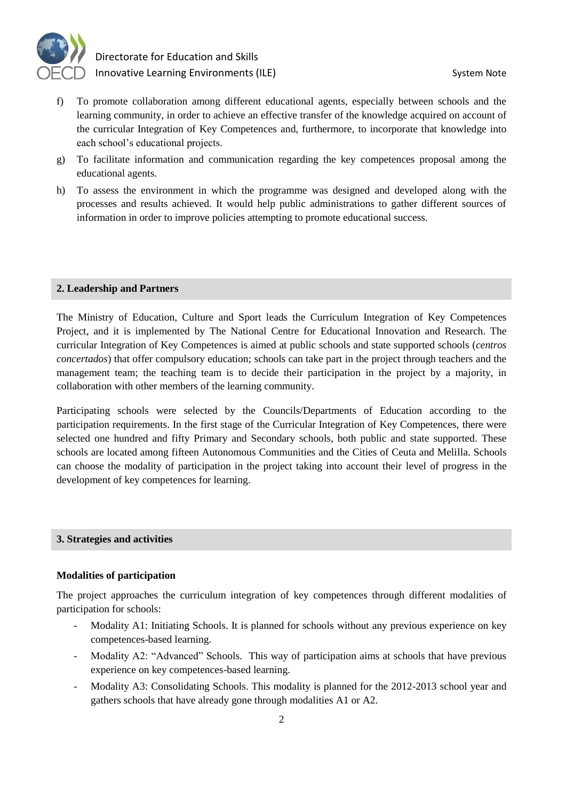

- f) To promote collaboration among different educational agents, especially between schools and the learning community, in order to achieve an effective transfer of the knowledge acquired on account of the curricular Integration of Key Competences and, furthermore, to incorporate that knowledge into each school's educational projects.
- g) To facilitate information and communication regarding the key competences proposal among the educational agents.
- h) To assess the environment in which the programme was designed and developed along with the processes and results achieved. It would help public administrations to gather different sources of information in order to improve policies attempting to promote educational success.

#### **2. Leadership and Partners**

The Ministry of Education, Culture and Sport leads the Curriculum Integration of Key Competences Project, and it is implemented by The National Centre for Educational Innovation and Research. The curricular Integration of Key Competences is aimed at public schools and state supported schools (*centros concertados*) that offer compulsory education; schools can take part in the project through teachers and the management team; the teaching team is to decide their participation in the project by a majority, in collaboration with other members of the learning community.

Participating schools were selected by the Councils/Departments of Education according to the participation requirements. In the first stage of the Curricular Integration of Key Competences, there were selected one hundred and fifty Primary and Secondary schools, both public and state supported. These schools are located among fifteen Autonomous Communities and the Cities of Ceuta and Melilla. Schools can choose the modality of participation in the project taking into account their level of progress in the development of key competences for learning.

#### **3. Strategies and activities**

#### **Modalities of participation**

The project approaches the curriculum integration of key competences through different modalities of participation for schools:

- Modality A1: Initiating Schools. It is planned for schools without any previous experience on key competences-based learning.
- Modality A2: "Advanced" Schools. This way of participation aims at schools that have previous experience on key competences-based learning.
- Modality A3: Consolidating Schools. This modality is planned for the 2012-2013 school year and gathers schools that have already gone through modalities A1 or A2.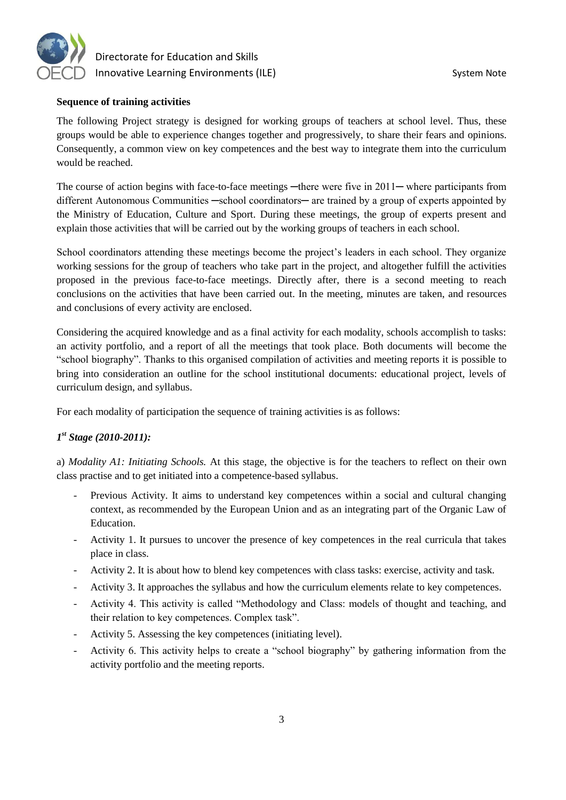

# **Sequence of training activities**

The following Project strategy is designed for working groups of teachers at school level. Thus, these groups would be able to experience changes together and progressively, to share their fears and opinions. Consequently, a common view on key competences and the best way to integrate them into the curriculum would be reached.

The course of action begins with face-to-face meetings —there were five in 2011— where participants from different Autonomous Communities —school coordinators— are trained by a group of experts appointed by the Ministry of Education, Culture and Sport. During these meetings, the group of experts present and explain those activities that will be carried out by the working groups of teachers in each school.

School coordinators attending these meetings become the project's leaders in each school. They organize working sessions for the group of teachers who take part in the project, and altogether fulfill the activities proposed in the previous face-to-face meetings. Directly after, there is a second meeting to reach conclusions on the activities that have been carried out. In the meeting, minutes are taken, and resources and conclusions of every activity are enclosed.

Considering the acquired knowledge and as a final activity for each modality, schools accomplish to tasks: an activity portfolio, and a report of all the meetings that took place. Both documents will become the "school biography". Thanks to this organised compilation of activities and meeting reports it is possible to bring into consideration an outline for the school institutional documents: educational project, levels of curriculum design, and syllabus.

For each modality of participation the sequence of training activities is as follows:

# *1 st Stage (2010-2011):*

a) *Modality A1: Initiating Schools.* At this stage, the objective is for the teachers to reflect on their own class practise and to get initiated into a competence-based syllabus.

- Previous Activity. It aims to understand key competences within a social and cultural changing context, as recommended by the European Union and as an integrating part of the Organic Law of Education.
- Activity 1. It pursues to uncover the presence of key competences in the real curricula that takes place in class.
- Activity 2. It is about how to blend key competences with class tasks: exercise, activity and task.
- Activity 3. It approaches the syllabus and how the curriculum elements relate to key competences.
- Activity 4. This activity is called "Methodology and Class: models of thought and teaching, and their relation to key competences. Complex task".
- Activity 5. Assessing the key competences (initiating level).
- Activity 6. This activity helps to create a "school biography" by gathering information from the activity portfolio and the meeting reports.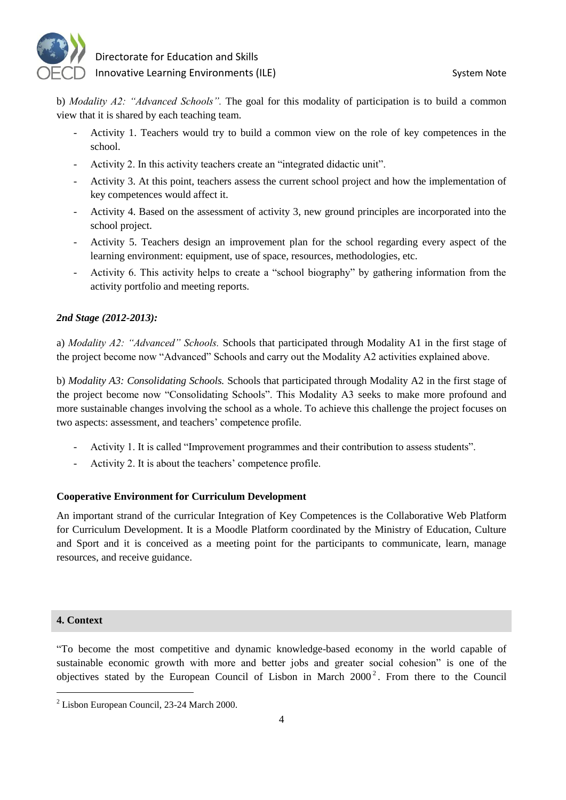

b) *Modality A2: "Advanced Schools".* The goal for this modality of participation is to build a common view that it is shared by each teaching team.

- Activity 1. Teachers would try to build a common view on the role of key competences in the school.
- Activity 2. In this activity teachers create an "integrated didactic unit".
- Activity 3. At this point, teachers assess the current school project and how the implementation of key competences would affect it.
- Activity 4. Based on the assessment of activity 3, new ground principles are incorporated into the school project.
- Activity 5. Teachers design an improvement plan for the school regarding every aspect of the learning environment: equipment, use of space, resources, methodologies, etc.
- Activity 6. This activity helps to create a "school biography" by gathering information from the activity portfolio and meeting reports.

# *2nd Stage (2012-2013):*

a) *Modality A2: "Advanced" Schools.* Schools that participated through Modality A1 in the first stage of the project become now "Advanced" Schools and carry out the Modality A2 activities explained above.

b) *Modality A3: Consolidating Schools.* Schools that participated through Modality A2 in the first stage of the project become now "Consolidating Schools". This Modality A3 seeks to make more profound and more sustainable changes involving the school as a whole. To achieve this challenge the project focuses on two aspects: assessment, and teachers' competence profile.

- Activity 1. It is called "Improvement programmes and their contribution to assess students".
- Activity 2. It is about the teachers' competence profile.

#### **Cooperative Environment for Curriculum Development**

An important strand of the curricular Integration of Key Competences is the Collaborative Web Platform for Curriculum Development. It is a Moodle Platform coordinated by the Ministry of Education, Culture and Sport and it is conceived as a meeting point for the participants to communicate, learn, manage resources, and receive guidance.

#### **4. Context**

"To become the most competitive and dynamic knowledge-based economy in the world capable of sustainable economic growth with more and better jobs and greater social cohesion" is one of the objectives stated by the European Council of Lisbon in March  $2000^2$ . From there to the Council

 $2$  Lisbon European Council, 23-24 March 2000.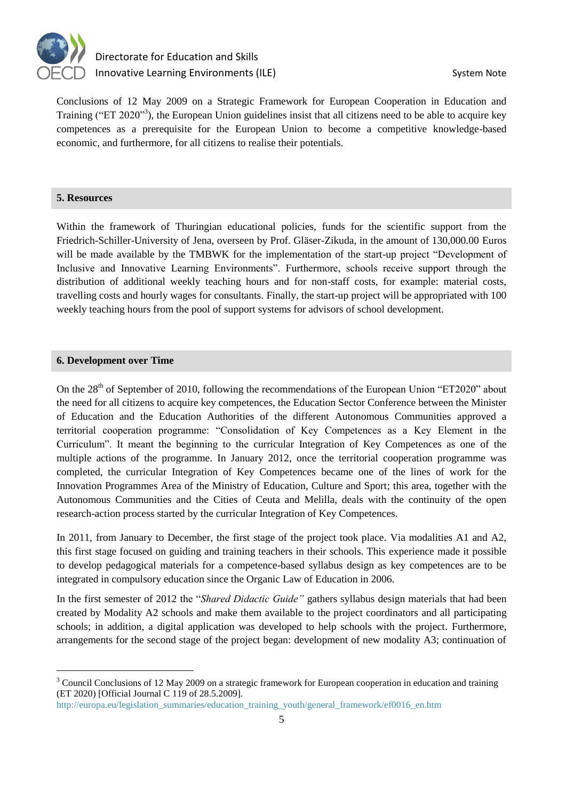

Conclusions of 12 May 2009 on a [Strategic Framework for European Cooperation in Education and](http://eur-lex.europa.eu/LexUriServ/LexUriServ.do?uri=CELEX:52009XG0528%2801%29:EN:NOT)  [Training](http://eur-lex.europa.eu/LexUriServ/LexUriServ.do?uri=CELEX:52009XG0528%2801%29:EN:NOT) ("ET 2020"<sup>3</sup>), the European Union guidelines insist that all citizens need to be able to acquire key competences as a prerequisite for the European Union to become a competitive knowledge-based economic, and furthermore, for all citizens to realise their potentials.

#### **5. Resources**

Within the framework of Thuringian educational policies, funds for the scientific support from the Friedrich-Schiller-University of Jena, overseen by Prof. Gläser-Zikuda, in the amount of 130,000.00 Euros will be made available by the TMBWK for the implementation of the start-up project "Development of Inclusive and Innovative Learning Environments". Furthermore, schools receive support through the distribution of additional weekly teaching hours and for non-staff costs, for example: material costs, travelling costs and hourly wages for consultants. Finally, the start-up project will be appropriated with 100 weekly teaching hours from the pool of support systems for advisors of school development.

### **6. Development over Time**

 $\overline{a}$ 

On the 28<sup>th</sup> of September of 2010, following the recommendations of the European Union "ET2020" about the need for all citizens to acquire key competences, the Education Sector Conference between the Minister of Education and the Education Authorities of the different Autonomous Communities approved a territorial cooperation programme: "Consolidation of Key Competences as a Key Element in the Curriculum". It meant the beginning to the curricular Integration of Key Competences as one of the multiple actions of the programme. In January 2012, once the territorial cooperation programme was completed, the curricular Integration of Key Competences became one of the lines of work for the Innovation Programmes Area of the Ministry of Education, Culture and Sport; this area, together with the Autonomous Communities and the Cities of Ceuta and Melilla, deals with the continuity of the open research-action process started by the curricular Integration of Key Competences.

In 2011, from January to December, the first stage of the project took place. Via modalities A1 and A2, this first stage focused on guiding and training teachers in their schools. This experience made it possible to develop pedagogical materials for a competence-based syllabus design as key competences are to be integrated in compulsory education since the Organic Law of Education in 2006.

In the first semester of 2012 the "*Shared Didactic Guide"* gathers syllabus design materials that had been created by Modality A2 schools and make them available to the project coordinators and all participating schools; in addition, a digital application was developed to help schools with the project. Furthermore, arrangements for the second stage of the project began: development of new modality A3; continuation of

<sup>&</sup>lt;sup>3</sup> Council Conclusions of 12 May 2009 on a [strategic framework for European cooperation in education and training](http://eur-lex.europa.eu/LexUriServ/LexUriServ.do?uri=CELEX:52009XG0528%2801%29:EN:NOT) (ET 2020) [Official Journal C 119 of 28.5.2009].

[http://europa.eu/legislation\\_summaries/education\\_training\\_youth/general\\_framework/ef0016\\_en.htm](http://europa.eu/legislation_summaries/education_training_youth/general_framework/ef0016_en.htm)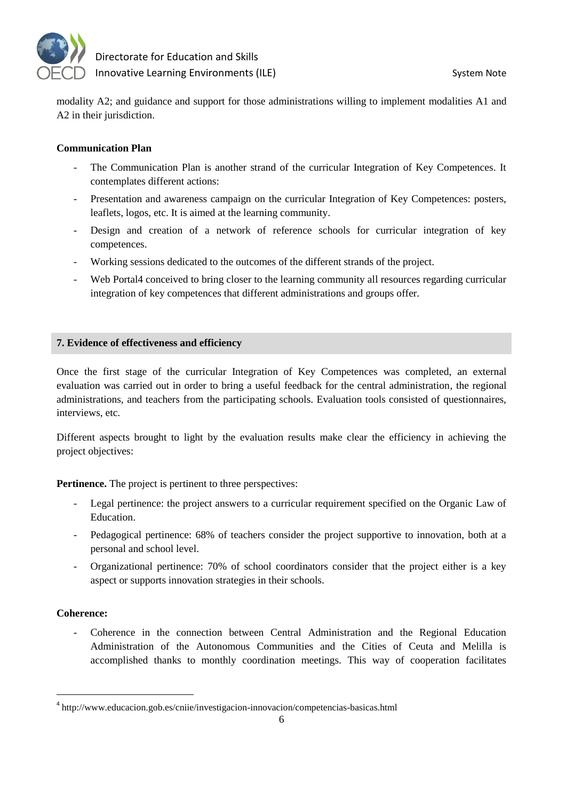

modality A2; and guidance and support for those administrations willing to implement modalities A1 and A2 in their jurisdiction.

# **Communication Plan**

- The Communication Plan is another strand of the curricular Integration of Key Competences. It contemplates different actions:
- Presentation and awareness campaign on the curricular Integration of Key Competences: posters, leaflets, logos, etc. It is aimed at the learning community.
- Design and creation of a network of reference schools for curricular integration of key competences.
- Working sessions dedicated to the outcomes of the different strands of the project.
- Web Portal<sub>4</sub> conceived to bring closer to the learning community all resources regarding curricular integration of key competences that different administrations and groups offer.

# **7. Evidence of effectiveness and efficiency**

Once the first stage of the curricular Integration of Key Competences was completed, an external evaluation was carried out in order to bring a useful feedback for the central administration, the regional administrations, and teachers from the participating schools. Evaluation tools consisted of questionnaires, interviews, etc.

Different aspects brought to light by the evaluation results make clear the efficiency in achieving the project objectives:

**Pertinence.** The project is pertinent to three perspectives:

- Legal pertinence: the project answers to a curricular requirement specified on the Organic Law of Education.
- Pedagogical pertinence: 68% of teachers consider the project supportive to innovation, both at a personal and school level.
- Organizational pertinence: 70% of school coordinators consider that the project either is a key aspect or supports innovation strategies in their schools.

# **Coherence:**

- Coherence in the connection between Central Administration and the Regional Education Administration of the Autonomous Communities and the Cities of Ceuta and Melilla is accomplished thanks to monthly coordination meetings. This way of cooperation facilitates

<sup>&</sup>lt;sup>4</sup> http://www.educacion.gob.es/cniie/investigacion-innovacion/competencias-basicas.html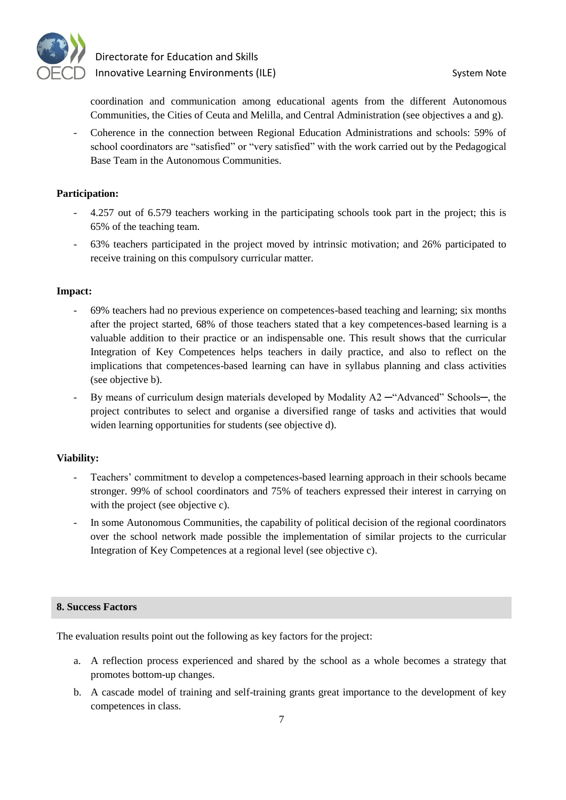

coordination and communication among educational agents from the different Autonomous Communities, the Cities of Ceuta and Melilla, and Central Administration (see objectives a and g).

Coherence in the connection between Regional Education Administrations and schools: 59% of school coordinators are "satisfied" or "very satisfied" with the work carried out by the Pedagogical Base Team in the Autonomous Communities.

# **Participation:**

- 4.257 out of 6.579 teachers working in the participating schools took part in the project; this is 65% of the teaching team.
- 63% teachers participated in the project moved by intrinsic motivation; and 26% participated to receive training on this compulsory curricular matter.

# **Impact:**

- 69% teachers had no previous experience on competences-based teaching and learning; six months after the project started, 68% of those teachers stated that a key competences-based learning is a valuable addition to their practice or an indispensable one. This result shows that the curricular Integration of Key Competences helps teachers in daily practice, and also to reflect on the implications that competences-based learning can have in syllabus planning and class activities (see objective b).
- By means of curriculum design materials developed by Modality  $A2$  —"Advanced" Schools—, the project contributes to select and organise a diversified range of tasks and activities that would widen learning opportunities for students (see objective d).

# **Viability:**

- Teachers' commitment to develop a competences-based learning approach in their schools became stronger. 99% of school coordinators and 75% of teachers expressed their interest in carrying on with the project (see objective c).
- In some Autonomous Communities, the capability of political decision of the regional coordinators over the school network made possible the implementation of similar projects to the curricular Integration of Key Competences at a regional level (see objective c).

## **8. Success Factors**

The evaluation results point out the following as key factors for the project:

- a. A reflection process experienced and shared by the school as a whole becomes a strategy that promotes bottom-up changes.
- b. A cascade model of training and self-training grants great importance to the development of key competences in class.